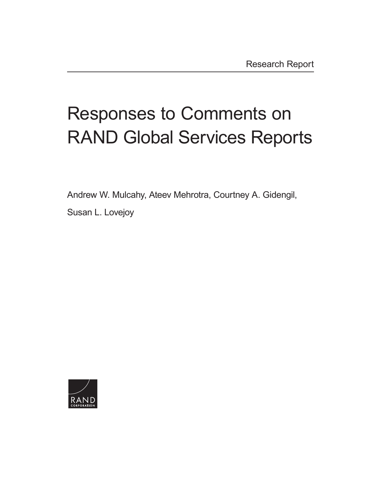# Responses to Comments on [RAND Global Services Reports](https://www.rand.org/pubs/research_reports/RR4314-1.html)

Andrew W. Mulcahy, Ateev Mehrotra, Courtney A. Gidengil,

Susan L. Lovejoy

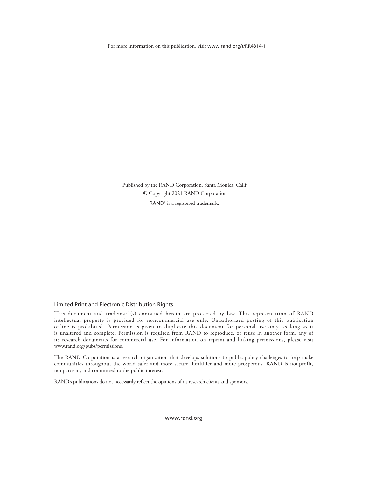For more information on this publication, visit [www.rand.org/t/RR4314](http://www.rand.org/t/RR4314-1)-1

Published by the RAND Corporation, Santa Monica, Calif. © Copyright 2021 RAND Corporation RAND<sup>®</sup> is a registered trademark.

#### Limited Print and Electronic Distribution Rights

This document and trademark(s) contained herein are protected by law. This representation of RAND intellectual property is provided for noncommercial use only. Unauthorized posting of this publication online is prohibited. Permission is given to duplicate this document for personal use only, as long as it is unaltered and complete. Permission is required from RAND to reproduce, or reuse in another form, any of its research documents for commercial use. For information on reprint and linking permissions, please visit [www.rand.org/pubs/permissions.](http://www.rand.org/pubs/permissions)

The RAND Corporation is a research organization that develops solutions to public policy challenges to help make communities throughout the world safer and more secure, healthier and more prosperous. RAND is nonprofit, nonpartisan, and committed to the public interest.

RAND's publications do not necessarily reflect the opinions of its research clients and sponsors.

[www.rand.org](http://www.rand.org)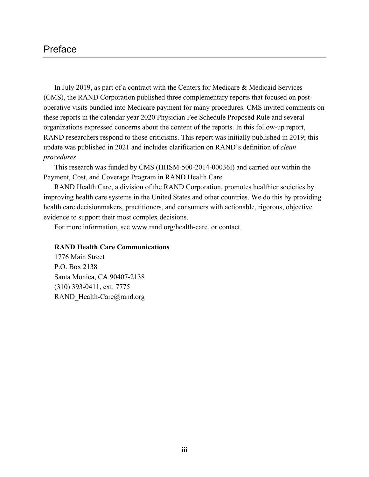# Preface

In July 2019, as part of a contract with the Centers for Medicare & Medicaid Services (CMS), the RAND Corporation published three complementary reports that focused on postoperative visits bundled into Medicare payment for many procedures. CMS invited comments on these reports in the calendar year 2020 Physician Fee Schedule Proposed Rule and several organizations expressed concerns about the content of the reports. In this follow-up report, RAND researchers respond to those criticisms. This report was initially published in 2019; this update was published in 2021 and includes clarification on RAND's definition of *clean procedures*.

This research was funded by CMS (HHSM-500-2014-00036I) and carried out within the Payment, Cost, and Coverage Program in RAND Health Care.

RAND Health Care, a division of the RAND Corporation, promotes healthier societies by improving health care systems in the United States and other countries. We do this by providing health care decisionmakers, practitioners, and consumers with actionable, rigorous, objective evidence to support their most complex decisions.

For more information, see [www.rand.org/health-care,](http://www.rand.org/health-care) or contact

#### **RAND Health Care Communications**

1776 Main Street P.O. Box 2138 Santa Monica, CA 90407-2138 (310) 393-0411, ext. 7775 RAND\_Health-Care@rand.org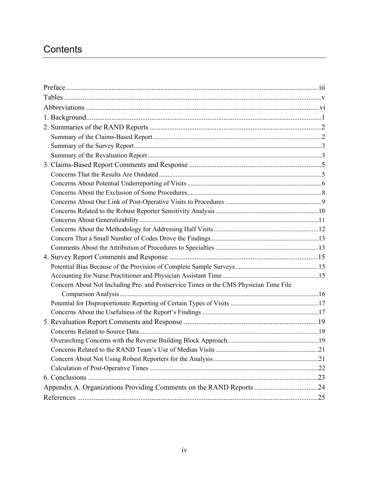# **Contents**

| Concern About Not Including Pre- and Postservice Times in the CMS Physician Time File |  |
|---------------------------------------------------------------------------------------|--|
|                                                                                       |  |
|                                                                                       |  |
|                                                                                       |  |
|                                                                                       |  |
|                                                                                       |  |
|                                                                                       |  |
|                                                                                       |  |
|                                                                                       |  |
|                                                                                       |  |
|                                                                                       |  |
| Appendix A. Organizations Providing Comments on the RAND Reports 24                   |  |
|                                                                                       |  |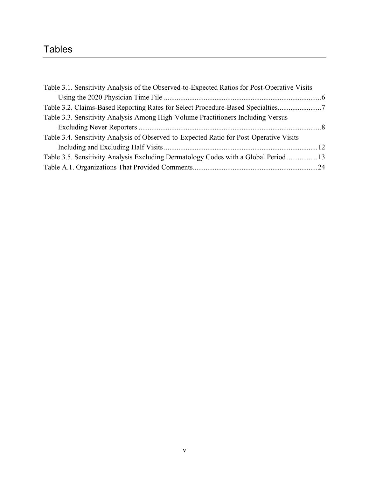# **Tables**

| Table 3.1. Sensitivity Analysis of the Observed-to-Expected Ratios for Post-Operative Visits |  |
|----------------------------------------------------------------------------------------------|--|
|                                                                                              |  |
| Table 3.2. Claims-Based Reporting Rates for Select Procedure-Based Specialties               |  |
| Table 3.3. Sensitivity Analysis Among High-Volume Practitioners Including Versus             |  |
|                                                                                              |  |
| Table 3.4. Sensitivity Analysis of Observed-to-Expected Ratio for Post-Operative Visits      |  |
|                                                                                              |  |
| Table 3.5. Sensitivity Analysis Excluding Dermatology Codes with a Global Period 13          |  |
|                                                                                              |  |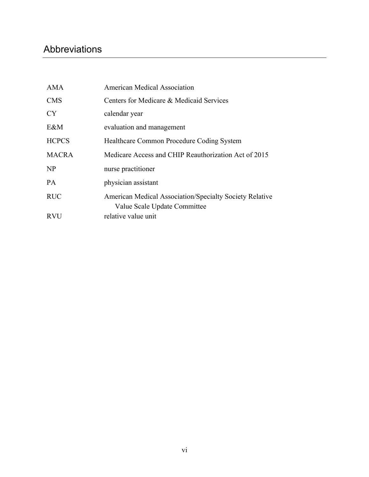# Abbreviations

| <b>AMA</b>   | <b>American Medical Association</b>                                                            |
|--------------|------------------------------------------------------------------------------------------------|
| <b>CMS</b>   | Centers for Medicare & Medicaid Services                                                       |
| <b>CY</b>    | calendar year                                                                                  |
| E&M          | evaluation and management                                                                      |
| <b>HCPCS</b> | Healthcare Common Procedure Coding System                                                      |
| <b>MACRA</b> | Medicare Access and CHIP Reauthorization Act of 2015                                           |
| <b>NP</b>    | nurse practitioner                                                                             |
| <b>PA</b>    | physician assistant                                                                            |
| <b>RUC</b>   | <b>American Medical Association/Specialty Society Relative</b><br>Value Scale Update Committee |
| <b>RVU</b>   | relative value unit                                                                            |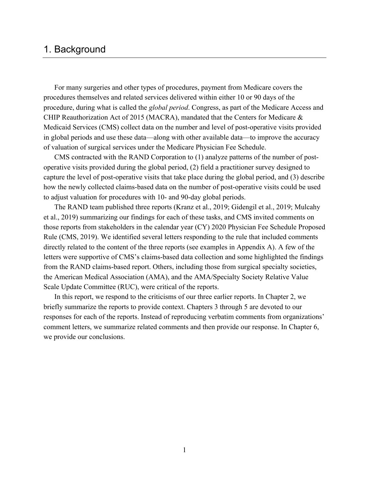# 1. Background

For many surgeries and other types of procedures, payment from Medicare covers the procedures themselves and related services delivered within either 10 or 90 days of the procedure, during what is called the *global period*. Congress, as part of the Medicare Access and CHIP Reauthorization Act of 2015 (MACRA), mandated that the Centers for Medicare & Medicaid Services (CMS) collect data on the number and level of post-operative visits provided in global periods and use these data—along with other available data—to improve the accuracy of valuation of surgical services under the Medicare Physician Fee Schedule.

CMS contracted with the RAND Corporation to (1) analyze patterns of the number of postoperative visits provided during the global period, (2) field a practitioner survey designed to capture the level of post-operative visits that take place during the global period, and (3) describe how the newly collected claims-based data on the number of post-operative visits could be used to adjust valuation for procedures with 10- and 90-day global periods.

The RAND team published three reports (Kranz et al., 2019; Gidengil et al., 2019; Mulcahy et al., 2019) summarizing our findings for each of these tasks, and CMS invited comments on those reports from stakeholders in the calendar year (CY) 2020 Physician Fee Schedule Proposed Rule (CMS, 2019). We identified several letters responding to the rule that included comments directly related to the content of the three reports (see examples in Appendix A). A few of the letters were supportive of CMS's claims-based data collection and some highlighted the findings from the RAND claims-based report. Others, including those from surgical specialty societies, the American Medical Association (AMA), and the AMA/Specialty Society Relative Value Scale Update Committee (RUC), were critical of the reports.

In this report, we respond to the criticisms of our three earlier reports. In Chapter 2, we briefly summarize the reports to provide context. Chapters 3 through 5 are devoted to our responses for each of the reports. Instead of reproducing verbatim comments from organizations' comment letters, we summarize related comments and then provide our response. In Chapter 6, we provide our conclusions.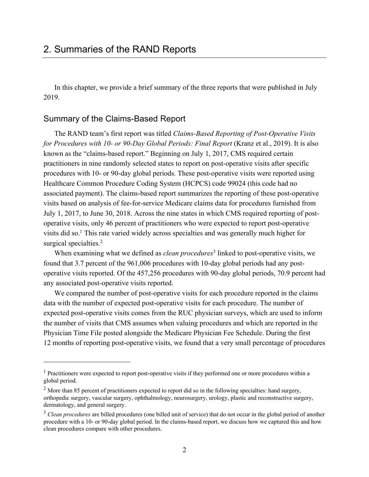In this chapter, we provide a brief summary of the three reports that were published in July 2019.

### Summary of the Claims-Based Report

The RAND team's first report was titled *Claims-Based Reporting of Post-Operative Visits for Procedures with 10- or 90-Day Global Periods: Final Report* (Kranz et al., 2019). It is also known as the "claims-based report." Beginning on July 1, 2017, CMS required certain practitioners in nine randomly selected states to report on post-operative visits after specific procedures with 10- or 90-day global periods. These post-operative visits were reported using Healthcare Common Procedure Coding System (HCPCS) code 99024 (this code had no associated payment). The claims-based report summarizes the reporting of these post-operative visits based on analysis of fee-for-service Medicare claims data for procedures furnished from July 1, 2017, to June 30, 2018. Across the nine states in which CMS required reporting of postoperative visits, only 46 percent of practitioners who were expected to report post-operative visits did so.<sup>1</sup> This rate varied widely across specialties and was generally much higher for surgical specialties.<sup>2</sup>

When examining what we defined as *clean procedures*<sup>3</sup> linked to post-operative visits, we found that 3.7 percent of the 961,006 procedures with 10-day global periods had any postoperative visits reported. Of the 457,256 procedures with 90-day global periods, 70.9 percent had any associated post-operative visits reported.

We compared the number of post-operative visits for each procedure reported in the claims data with the number of expected post-operative visits for each procedure. The number of expected post-operative visits comes from the RUC physician surveys, which are used to inform the number of visits that CMS assumes when valuing procedures and which are reported in the Physician Time File posted alongside the Medicare Physician Fee Schedule. During the first 12 months of reporting post-operative visits, we found that a very small percentage of procedures

<sup>&</sup>lt;sup>1</sup> Practitioners were expected to report post-operative visits if they performed one or more procedures within a global period.

<sup>&</sup>lt;sup>2</sup> More than 85 percent of practitioners expected to report did so in the following specialties: hand surgery, orthopedic surgery, vascular surgery, ophthalmology, neurosurgery, urology, plastic and reconstructive surgery, dermatology, and general surgery.

<sup>&</sup>lt;sup>3</sup> Clean procedures are billed procedures (one billed unit of service) that do not occur in the global period of another procedure with a 10- or 90-day global period. In the claims-based report, we discuss how we captured this and how clean procedures compare with other procedures.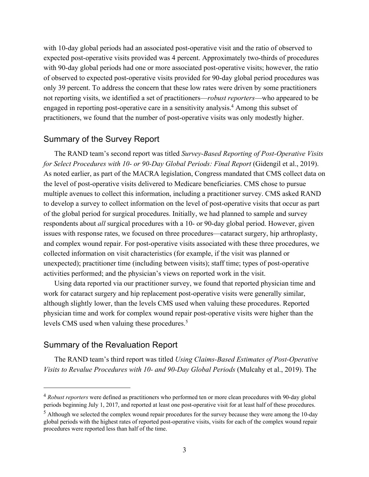with 10-day global periods had an associated post-operative visit and the ratio of observed to expected post-operative visits provided was 4 percent. Approximately two-thirds of procedures with 90-day global periods had one or more associated post-operative visits; however, the ratio of observed to expected post-operative visits provided for 90-day global period procedures was only 39 percent. To address the concern that these low rates were driven by some practitioners not reporting visits, we identified a set of practitioners—*robust reporters*—who appeared to be engaged in reporting post-operative care in a sensitivity analysis.<sup>4</sup> Among this subset of practitioners, we found that the number of post-operative visits was only modestly higher.

#### Summary of the Survey Report

The RAND team's second report was titled *Survey-Based Reporting of Post-Operative Visits for Select Procedures with 10- or 90-Day Global Periods: Final Report* (Gidengil et al., 2019). As noted earlier, as part of the MACRA legislation, Congress mandated that CMS collect data on the level of post-operative visits delivered to Medicare beneficiaries. CMS chose to pursue multiple avenues to collect this information, including a practitioner survey. CMS asked RAND to develop a survey to collect information on the level of post-operative visits that occur as part of the global period for surgical procedures. Initially, we had planned to sample and survey respondents about *all* surgical procedures with a 10- or 90-day global period. However, given issues with response rates, we focused on three procedures—cataract surgery, hip arthroplasty, and complex wound repair. For post-operative visits associated with these three procedures, we collected information on visit characteristics (for example, if the visit was planned or unexpected); practitioner time (including between visits); staff time; types of post-operative activities performed; and the physician's views on reported work in the visit.

Using data reported via our practitioner survey, we found that reported physician time and work for cataract surgery and hip replacement post-operative visits were generally similar, although slightly lower, than the levels CMS used when valuing these procedures. Reported physician time and work for complex wound repair post-operative visits were higher than the levels CMS used when valuing these procedures.<sup>5</sup>

# Summary of the Revaluation Report

The RAND team's third report was titled *Using Claims-Based Estimates of Post-Operative Visits to Revalue Procedures with 10- and 90-Day Global Periods* (Mulcahy et al., 2019). The

<sup>4</sup> *Robust reporters* were defined as practitioners who performed ten or more clean procedures with 90-day global periods beginning July 1, 2017, and reported at least one post-operative visit for at least half of these procedures.

<sup>&</sup>lt;sup>5</sup> Although we selected the complex wound repair procedures for the survey because they were among the 10-day global periods with the highest rates of reported post-operative visits, visits for each of the complex wound repair procedures were reported less than half of the time.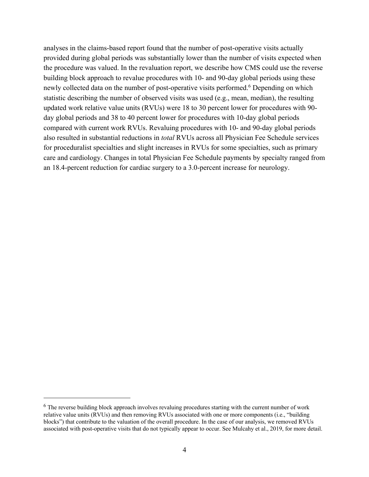analyses in the claims-based report found that the number of post-operative visits actually provided during global periods was substantially lower than the number of visits expected when the procedure was valued. In the revaluation report, we describe how CMS could use the reverse building block approach to revalue procedures with 10- and 90-day global periods using these newly collected data on the number of post-operative visits performed.<sup>6</sup> Depending on which statistic describing the number of observed visits was used (e.g., mean, median), the resulting updated work relative value units (RVUs) were 18 to 30 percent lower for procedures with 90 day global periods and 38 to 40 percent lower for procedures with 10-day global periods compared with current work RVUs. Revaluing procedures with 10- and 90-day global periods also resulted in substantial reductions in *total* RVUs across all Physician Fee Schedule services for proceduralist specialties and slight increases in RVUs for some specialties, such as primary care and cardiology. Changes in total Physician Fee Schedule payments by specialty ranged from an 18.4-percent reduction for cardiac surgery to a 3.0-percent increase for neurology.

<sup>&</sup>lt;sup>6</sup> The reverse building block approach involves revaluing procedures starting with the current number of work relative value units (RVUs) and then removing RVUs associated with one or more components (i.e., "building blocks") that contribute to the valuation of the overall procedure. In the case of our analysis, we removed RVUs associated with post-operative visits that do not typically appear to occur. See Mulcahy et al., 2019, for more detail.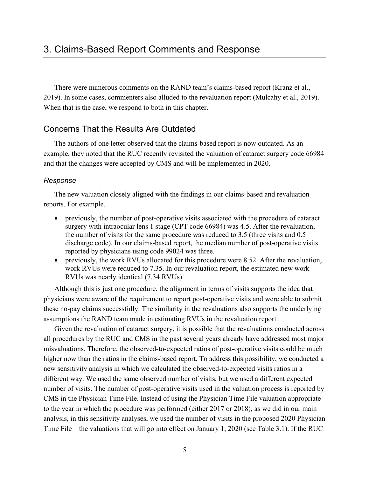There were numerous comments on the RAND team's claims-based report (Kranz et al., 2019). In some cases, commenters also alluded to the revaluation report (Mulcahy et al., 2019). When that is the case, we respond to both in this chapter.

### Concerns That the Results Are Outdated

The authors of one letter observed that the claims-based report is now outdated. As an example, they noted that the RUC recently revisited the valuation of cataract surgery code 66984 and that the changes were accepted by CMS and will be implemented in 2020.

#### *Response*

The new valuation closely aligned with the findings in our claims-based and revaluation reports. For example,

- previously, the number of post-operative visits associated with the procedure of cataract surgery with intraocular lens 1 stage (CPT code 66984) was 4.5. After the revaluation, the number of visits for the same procedure was reduced to 3.5 (three visits and 0.5 discharge code). In our claims-based report, the median number of post-operative visits reported by physicians using code 99024 was three.
- previously, the work RVUs allocated for this procedure were 8.52. After the revaluation, work RVUs were reduced to 7.35. In our revaluation report, the estimated new work RVUs was nearly identical (7.34 RVUs).

Although this is just one procedure, the alignment in terms of visits supports the idea that physicians were aware of the requirement to report post-operative visits and were able to submit these no-pay claims successfully. The similarity in the revaluations also supports the underlying assumptions the RAND team made in estimating RVUs in the revaluation report.

Given the revaluation of cataract surgery, it is possible that the revaluations conducted across all procedures by the RUC and CMS in the past several years already have addressed most major misvaluations. Therefore, the observed-to-expected ratios of post-operative visits could be much higher now than the ratios in the claims-based report. To address this possibility, we conducted a new sensitivity analysis in which we calculated the observed-to-expected visits ratios in a different way. We used the same observed number of visits, but we used a different expected number of visits. The number of post-operative visits used in the valuation process is reported by CMS in the Physician Time File. Instead of using the Physician Time File valuation appropriate to the year in which the procedure was performed (either 2017 or 2018), as we did in our main analysis, in this sensitivity analyses, we used the number of visits in the proposed 2020 Physician Time File—the valuations that will go into effect on January 1, 2020 (see Table 3.1). If the RUC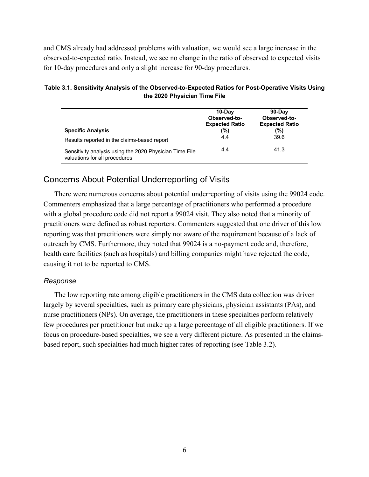and CMS already had addressed problems with valuation, we would see a large increase in the observed-to-expected ratio. Instead, we see no change in the ratio of observed to expected visits for 10-day procedures and only a slight increase for 90-day procedures.

| <b>Specific Analysis</b>                                                                 | 10-Dav<br>Observed-to-<br><b>Expected Ratio</b><br>(%) | 90-Dav<br>Observed-to-<br><b>Expected Ratio</b><br>(%) |
|------------------------------------------------------------------------------------------|--------------------------------------------------------|--------------------------------------------------------|
| Results reported in the claims-based report                                              | 4.4                                                    | 39.6                                                   |
| Sensitivity analysis using the 2020 Physician Time File<br>valuations for all procedures | 4.4                                                    | 41.3                                                   |

#### **Table 3.1. Sensitivity Analysis of the Observed-to-Expected Ratios for Post-Operative Visits Using the 2020 Physician Time File**

# Concerns About Potential Underreporting of Visits

There were numerous concerns about potential underreporting of visits using the 99024 code. Commenters emphasized that a large percentage of practitioners who performed a procedure with a global procedure code did not report a 99024 visit. They also noted that a minority of practitioners were defined as robust reporters. Commenters suggested that one driver of this low reporting was that practitioners were simply not aware of the requirement because of a lack of outreach by CMS. Furthermore, they noted that 99024 is a no-payment code and, therefore, health care facilities (such as hospitals) and billing companies might have rejected the code, causing it not to be reported to CMS.

#### *Response*

The low reporting rate among eligible practitioners in the CMS data collection was driven largely by several specialties, such as primary care physicians, physician assistants (PAs), and nurse practitioners (NPs). On average, the practitioners in these specialties perform relatively few procedures per practitioner but make up a large percentage of all eligible practitioners. If we focus on procedure-based specialties, we see a very different picture. As presented in the claimsbased report, such specialties had much higher rates of reporting (see Table 3.2).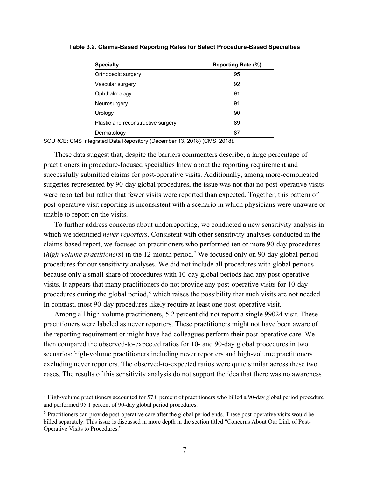| <b>Specialty</b>                   | Reporting Rate (%) |
|------------------------------------|--------------------|
| Orthopedic surgery                 | 95                 |
| Vascular surgery                   | 92                 |
| Ophthalmology                      | 91                 |
| Neurosurgery                       | 91                 |
| Urology                            | 90                 |
| Plastic and reconstructive surgery | 89                 |
| Dermatology                        | 87                 |

**Table 3.2. Claims-Based Reporting Rates for Select Procedure-Based Specialties**

SOURCE: CMS Integrated Data Repository (December 13, 2018) (CMS, 2018).

These data suggest that, despite the barriers commenters describe, a large percentage of practitioners in procedure-focused specialties knew about the reporting requirement and successfully submitted claims for post-operative visits. Additionally, among more-complicated surgeries represented by 90-day global procedures, the issue was not that no post-operative visits were reported but rather that fewer visits were reported than expected. Together, this pattern of post-operative visit reporting is inconsistent with a scenario in which physicians were unaware or unable to report on the visits.

To further address concerns about underreporting, we conducted a new sensitivity analysis in which we identified *never reporters*. Consistent with other sensitivity analyses conducted in the claims-based report, we focused on practitioners who performed ten or more 90-day procedures (*high-volume practitioners*) in the 12-month period.7 We focused only on 90-day global period procedures for our sensitivity analyses. We did not include all procedures with global periods because only a small share of procedures with 10-day global periods had any post-operative visits. It appears that many practitioners do not provide any post-operative visits for 10-day procedures during the global period,<sup>8</sup> which raises the possibility that such visits are not needed. In contrast, most 90-day procedures likely require at least one post-operative visit.

Among all high-volume practitioners, 5.2 percent did not report a single 99024 visit. These practitioners were labeled as never reporters. These practitioners might not have been aware of the reporting requirement or might have had colleagues perform their post-operative care. We then compared the observed-to-expected ratios for 10- and 90-day global procedures in two scenarios: high-volume practitioners including never reporters and high-volume practitioners excluding never reporters. The observed-to-expected ratios were quite similar across these two cases. The results of this sensitivity analysis do not support the idea that there was no awareness

 $7$  High-volume practitioners accounted for 57.0 percent of practitioners who billed a 90-day global period procedure and performed 95.1 percent of 90-day global period procedures.

<sup>&</sup>lt;sup>8</sup> Practitioners can provide post-operative care after the global period ends. These post-operative visits would be billed separately. This issue is discussed in more depth in the section titled "Concerns About Our Link of Post-Operative Visits to Procedures."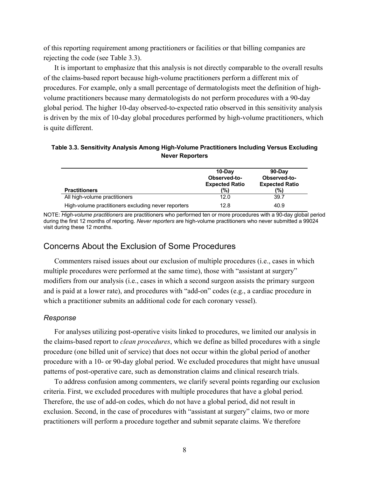of this reporting requirement among practitioners or facilities or that billing companies are rejecting the code (see Table 3.3).

It is important to emphasize that this analysis is not directly comparable to the overall results of the claims-based report because high-volume practitioners perform a different mix of procedures. For example, only a small percentage of dermatologists meet the definition of highvolume practitioners because many dermatologists do not perform procedures with a 90-day global period. The higher 10-day observed-to-expected ratio observed in this sensitivity analysis is driven by the mix of 10-day global procedures performed by high-volume practitioners, which is quite different.

| Table 3.3. Sensitivity Analysis Among High-Volume Practitioners Including Versus Excluding |  |
|--------------------------------------------------------------------------------------------|--|
| <b>Never Reporters</b>                                                                     |  |

| <b>Practitioners</b>                                | 10-Dav<br>Observed-to-<br><b>Expected Ratio</b><br>(%) | 90-Dav<br>Observed-to-<br><b>Expected Ratio</b><br>(%) |
|-----------------------------------------------------|--------------------------------------------------------|--------------------------------------------------------|
| All high-volume practitioners                       | 12.0                                                   | 39.7                                                   |
| High-volume practitioners excluding never reporters | 12.8                                                   | 40.9                                                   |

NOTE: *High-volume practitioners* are practitioners who performed ten or more procedures with a 90-day global period during the first 12 months of reporting. *Never reporters* are high-volume practitioners who never submitted a 99024 visit during these 12 months.

#### Concerns About the Exclusion of Some Procedures

Commenters raised issues about our exclusion of multiple procedures (i.e., cases in which multiple procedures were performed at the same time), those with "assistant at surgery" modifiers from our analysis (i.e., cases in which a second surgeon assists the primary surgeon and is paid at a lower rate), and procedures with "add-on" codes (e.g., a cardiac procedure in which a practitioner submits an additional code for each coronary vessel).

#### *Response*

For analyses utilizing post-operative visits linked to procedures, we limited our analysis in the claims-based report to *clean procedures*, which we define as billed procedures with a single procedure (one billed unit of service) that does not occur within the global period of another procedure with a 10- or 90-day global period. We excluded procedures that might have unusual patterns of post-operative care, such as demonstration claims and clinical research trials.

To address confusion among commenters, we clarify several points regarding our exclusion criteria. First, we excluded procedures with multiple procedures that have a global period*.*  Therefore, the use of add-on codes, which do not have a global period, did not result in exclusion. Second, in the case of procedures with "assistant at surgery" claims, two or more practitioners will perform a procedure together and submit separate claims. We therefore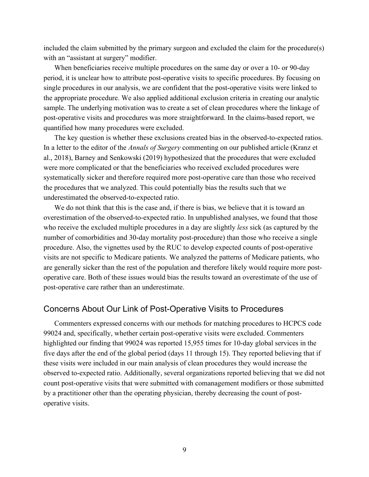included the claim submitted by the primary surgeon and excluded the claim for the procedure(s) with an "assistant at surgery" modifier.

When beneficiaries receive multiple procedures on the same day or over a 10- or 90-day period, it is unclear how to attribute post-operative visits to specific procedures. By focusing on single procedures in our analysis, we are confident that the post-operative visits were linked to the appropriate procedure. We also applied additional exclusion criteria in creating our analytic sample. The underlying motivation was to create a set of clean procedures where the linkage of post-operative visits and procedures was more straightforward. In the claims-based report, we quantified how many procedures were excluded.

The key question is whether these exclusions created bias in the observed-to-expected ratios. In a letter to the editor of the *Annals of Surgery* commenting on our published article (Kranz et al., 2018), Barney and Senkowski (2019) hypothesized that the procedures that were excluded were more complicated or that the beneficiaries who received excluded procedures were systematically sicker and therefore required more post-operative care than those who received the procedures that we analyzed. This could potentially bias the results such that we underestimated the observed-to-expected ratio.

We do not think that this is the case and, if there is bias, we believe that it is toward an overestimation of the observed-to-expected ratio. In unpublished analyses, we found that those who receive the excluded multiple procedures in a day are slightly *less* sick (as captured by the number of comorbidities and 30-day mortality post-procedure) than those who receive a single procedure. Also, the vignettes used by the RUC to develop expected counts of post-operative visits are not specific to Medicare patients. We analyzed the patterns of Medicare patients, who are generally sicker than the rest of the population and therefore likely would require more postoperative care. Both of these issues would bias the results toward an overestimate of the use of post-operative care rather than an underestimate.

#### Concerns About Our Link of Post-Operative Visits to Procedures

Commenters expressed concerns with our methods for matching procedures to HCPCS code 99024 and, specifically, whether certain post-operative visits were excluded. Commenters highlighted our finding that 99024 was reported 15,955 times for 10-day global services in the five days after the end of the global period (days 11 through 15). They reported believing that if these visits were included in our main analysis of clean procedures they would increase the observed to-expected ratio. Additionally, several organizations reported believing that we did not count post-operative visits that were submitted with comanagement modifiers or those submitted by a practitioner other than the operating physician, thereby decreasing the count of postoperative visits.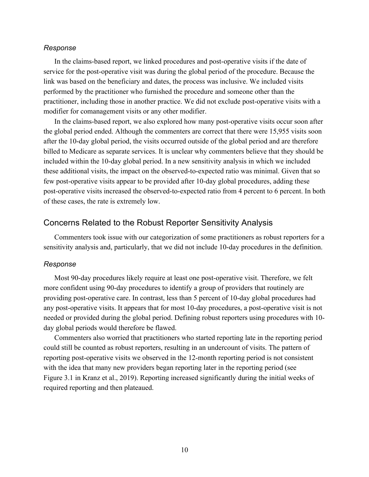#### *Response*

In the claims-based report, we linked procedures and post-operative visits if the date of service for the post-operative visit was during the global period of the procedure. Because the link was based on the beneficiary and dates, the process was inclusive. We included visits performed by the practitioner who furnished the procedure and someone other than the practitioner, including those in another practice. We did not exclude post-operative visits with a modifier for comanagement visits or any other modifier.

In the claims-based report, we also explored how many post-operative visits occur soon after the global period ended. Although the commenters are correct that there were 15,955 visits soon after the 10-day global period, the visits occurred outside of the global period and are therefore billed to Medicare as separate services. It is unclear why commenters believe that they should be included within the 10-day global period. In a new sensitivity analysis in which we included these additional visits, the impact on the observed-to-expected ratio was minimal. Given that so few post-operative visits appear to be provided after 10-day global procedures, adding these post-operative visits increased the observed-to-expected ratio from 4 percent to 6 percent. In both of these cases, the rate is extremely low.

### Concerns Related to the Robust Reporter Sensitivity Analysis

Commenters took issue with our categorization of some practitioners as robust reporters for a sensitivity analysis and, particularly, that we did not include 10-day procedures in the definition.

#### *Response*

Most 90-day procedures likely require at least one post-operative visit. Therefore, we felt more confident using 90-day procedures to identify a group of providers that routinely are providing post-operative care. In contrast, less than 5 percent of 10-day global procedures had any post-operative visits. It appears that for most 10-day procedures, a post-operative visit is not needed or provided during the global period. Defining robust reporters using procedures with 10 day global periods would therefore be flawed.

Commenters also worried that practitioners who started reporting late in the reporting period could still be counted as robust reporters, resulting in an undercount of visits. The pattern of reporting post-operative visits we observed in the 12-month reporting period is not consistent with the idea that many new providers began reporting later in the reporting period (see Figure 3.1 in Kranz et al., 2019). Reporting increased significantly during the initial weeks of required reporting and then plateaued.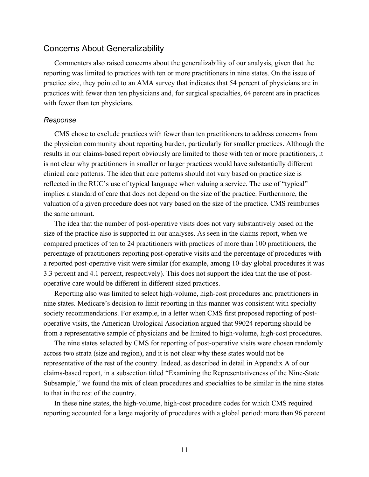#### Concerns About Generalizability

Commenters also raised concerns about the generalizability of our analysis, given that the reporting was limited to practices with ten or more practitioners in nine states. On the issue of practice size, they pointed to an AMA survey that indicates that 54 percent of physicians are in practices with fewer than ten physicians and, for surgical specialties, 64 percent are in practices with fewer than ten physicians.

#### *Response*

CMS chose to exclude practices with fewer than ten practitioners to address concerns from the physician community about reporting burden, particularly for smaller practices. Although the results in our claims-based report obviously are limited to those with ten or more practitioners, it is not clear why practitioners in smaller or larger practices would have substantially different clinical care patterns. The idea that care patterns should not vary based on practice size is reflected in the RUC's use of typical language when valuing a service. The use of "typical" implies a standard of care that does not depend on the size of the practice. Furthermore, the valuation of a given procedure does not vary based on the size of the practice. CMS reimburses the same amount.

The idea that the number of post-operative visits does not vary substantively based on the size of the practice also is supported in our analyses. As seen in the claims report, when we compared practices of ten to 24 practitioners with practices of more than 100 practitioners, the percentage of practitioners reporting post-operative visits and the percentage of procedures with a reported post-operative visit were similar (for example, among 10-day global procedures it was 3.3 percent and 4.1 percent, respectively). This does not support the idea that the use of postoperative care would be different in different-sized practices.

Reporting also was limited to select high-volume, high-cost procedures and practitioners in nine states. Medicare's decision to limit reporting in this manner was consistent with specialty society recommendations. For example, in a letter when CMS first proposed reporting of postoperative visits, the American Urological Association argued that 99024 reporting should be from a representative sample of physicians and be limited to high-volume, high-cost procedures.

The nine states selected by CMS for reporting of post-operative visits were chosen randomly across two strata (size and region), and it is not clear why these states would not be representative of the rest of the country. Indeed, as described in detail in Appendix A of our claims-based report, in a subsection titled "Examining the Representativeness of the Nine-State Subsample," we found the mix of clean procedures and specialties to be similar in the nine states to that in the rest of the country.

In these nine states, the high-volume, high-cost procedure codes for which CMS required reporting accounted for a large majority of procedures with a global period: more than 96 percent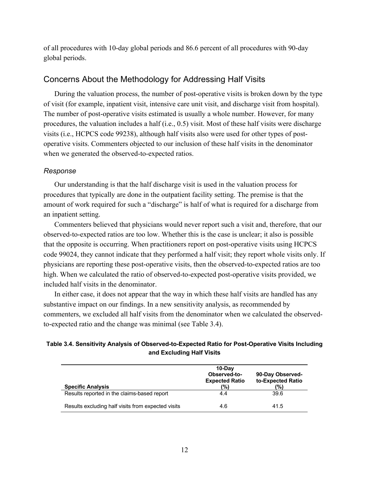of all procedures with 10-day global periods and 86.6 percent of all procedures with 90-day global periods.

#### Concerns About the Methodology for Addressing Half Visits

During the valuation process, the number of post-operative visits is broken down by the type of visit (for example, inpatient visit, intensive care unit visit, and discharge visit from hospital). The number of post-operative visits estimated is usually a whole number. However, for many procedures, the valuation includes a half (i.e., 0.5) visit. Most of these half visits were discharge visits (i.e., HCPCS code 99238), although half visits also were used for other types of postoperative visits. Commenters objected to our inclusion of these half visits in the denominator when we generated the observed-to-expected ratios.

#### *Response*

Our understanding is that the half discharge visit is used in the valuation process for procedures that typically are done in the outpatient facility setting. The premise is that the amount of work required for such a "discharge" is half of what is required for a discharge from an inpatient setting.

Commenters believed that physicians would never report such a visit and, therefore, that our observed-to-expected ratios are too low. Whether this is the case is unclear; it also is possible that the opposite is occurring. When practitioners report on post-operative visits using HCPCS code 99024, they cannot indicate that they performed a half visit; they report whole visits only. If physicians are reporting these post-operative visits, then the observed-to-expected ratios are too high. When we calculated the ratio of observed-to-expected post-operative visits provided, we included half visits in the denominator.

In either case, it does not appear that the way in which these half visits are handled has any substantive impact on our findings. In a new sensitivity analysis, as recommended by commenters, we excluded all half visits from the denominator when we calculated the observedto-expected ratio and the change was minimal (see Table 3.4).

#### **Table 3.4. Sensitivity Analysis of Observed-to-Expected Ratio for Post-Operative Visits Including and Excluding Half Visits**

| <b>Specific Analysis</b>                           | 10-Dav<br>Observed-to-<br><b>Expected Ratio</b><br>(%) | 90-Day Observed-<br>to-Expected Ratio<br>(%) |
|----------------------------------------------------|--------------------------------------------------------|----------------------------------------------|
| Results reported in the claims-based report        | 4.4                                                    | 39.6                                         |
| Results excluding half visits from expected visits | 4.6                                                    | 41.5                                         |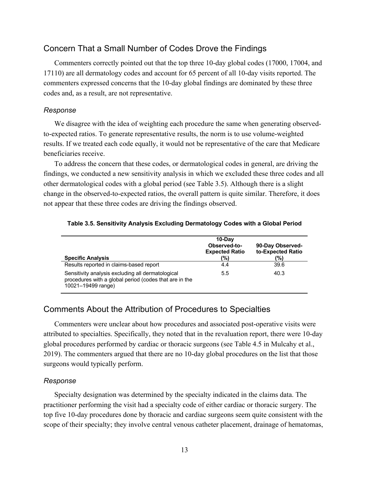# Concern That a Small Number of Codes Drove the Findings

Commenters correctly pointed out that the top three 10-day global codes (17000, 17004, and 17110) are all dermatology codes and account for 65 percent of all 10-day visits reported. The commenters expressed concerns that the 10-day global findings are dominated by these three codes and, as a result, are not representative.

#### *Response*

We disagree with the idea of weighting each procedure the same when generating observedto-expected ratios. To generate representative results, the norm is to use volume-weighted results. If we treated each code equally, it would not be representative of the care that Medicare beneficiaries receive.

To address the concern that these codes, or dermatological codes in general, are driving the findings, we conducted a new sensitivity analysis in which we excluded these three codes and all other dermatological codes with a global period (see Table 3.5). Although there is a slight change in the observed-to-expected ratios, the overall pattern is quite similar. Therefore, it does not appear that these three codes are driving the findings observed.

| <b>Specific Analysis</b>                                                                                                          | 10-Dav<br>Observed-to-<br><b>Expected Ratio</b><br>(%) | 90-Day Observed-<br>to-Expected Ratio<br>(%) |
|-----------------------------------------------------------------------------------------------------------------------------------|--------------------------------------------------------|----------------------------------------------|
| Results reported in claims-based report                                                                                           | 4.4                                                    | 39.6                                         |
| Sensitivity analysis excluding all dermatological<br>procedures with a global period (codes that are in the<br>10021-19499 range) | 5.5                                                    | 40.3                                         |

#### **Table 3.5. Sensitivity Analysis Excluding Dermatology Codes with a Global Period**

# Comments About the Attribution of Procedures to Specialties

Commenters were unclear about how procedures and associated post-operative visits were attributed to specialties. Specifically, they noted that in the revaluation report, there were 10-day global procedures performed by cardiac or thoracic surgeons (see Table 4.5 in Mulcahy et al., 2019). The commenters argued that there are no 10-day global procedures on the list that those surgeons would typically perform.

#### *Response*

Specialty designation was determined by the specialty indicated in the claims data. The practitioner performing the visit had a specialty code of either cardiac or thoracic surgery. The top five 10-day procedures done by thoracic and cardiac surgeons seem quite consistent with the scope of their specialty; they involve central venous catheter placement, drainage of hematomas,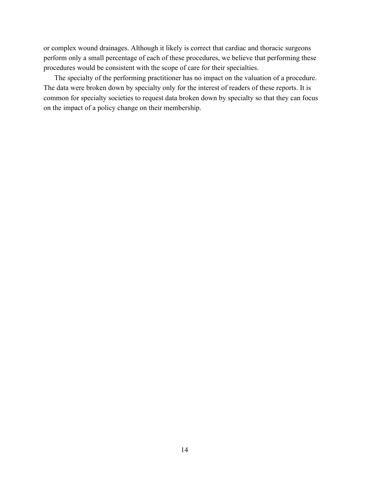or complex wound drainages. Although it likely is correct that cardiac and thoracic surgeons perform only a small percentage of each of these procedures, we believe that performing these procedures would be consistent with the scope of care for their specialties.

The specialty of the performing practitioner has no impact on the valuation of a procedure. The data were broken down by specialty only for the interest of readers of these reports. It is common for specialty societies to request data broken down by specialty so that they can focus on the impact of a policy change on their membership.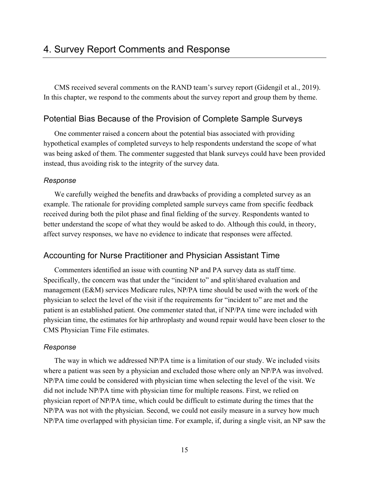CMS received several comments on the RAND team's survey report (Gidengil et al., 2019). In this chapter, we respond to the comments about the survey report and group them by theme.

#### Potential Bias Because of the Provision of Complete Sample Surveys

One commenter raised a concern about the potential bias associated with providing hypothetical examples of completed surveys to help respondents understand the scope of what was being asked of them. The commenter suggested that blank surveys could have been provided instead, thus avoiding risk to the integrity of the survey data.

#### *Response*

We carefully weighed the benefits and drawbacks of providing a completed survey as an example. The rationale for providing completed sample surveys came from specific feedback received during both the pilot phase and final fielding of the survey. Respondents wanted to better understand the scope of what they would be asked to do. Although this could, in theory, affect survey responses, we have no evidence to indicate that responses were affected.

#### Accounting for Nurse Practitioner and Physician Assistant Time

Commenters identified an issue with counting NP and PA survey data as staff time. Specifically, the concern was that under the "incident to" and split/shared evaluation and management (E&M) services Medicare rules, NP/PA time should be used with the work of the physician to select the level of the visit if the requirements for "incident to" are met and the patient is an established patient. One commenter stated that, if NP/PA time were included with physician time, the estimates for hip arthroplasty and wound repair would have been closer to the CMS Physician Time File estimates.

#### *Response*

The way in which we addressed NP/PA time is a limitation of our study. We included visits where a patient was seen by a physician and excluded those where only an NP/PA was involved. NP/PA time could be considered with physician time when selecting the level of the visit. We did not include NP/PA time with physician time for multiple reasons. First, we relied on physician report of NP/PA time, which could be difficult to estimate during the times that the NP/PA was not with the physician. Second, we could not easily measure in a survey how much NP/PA time overlapped with physician time. For example, if, during a single visit, an NP saw the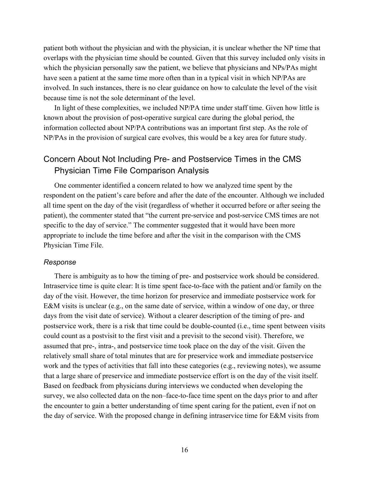patient both without the physician and with the physician, it is unclear whether the NP time that overlaps with the physician time should be counted. Given that this survey included only visits in which the physician personally saw the patient, we believe that physicians and NPs/PAs might have seen a patient at the same time more often than in a typical visit in which NP/PAs are involved. In such instances, there is no clear guidance on how to calculate the level of the visit because time is not the sole determinant of the level.

In light of these complexities, we included NP/PA time under staff time. Given how little is known about the provision of post-operative surgical care during the global period, the information collected about NP/PA contributions was an important first step. As the role of NP/PAs in the provision of surgical care evolves, this would be a key area for future study.

# Concern About Not Including Pre- and Postservice Times in the CMS Physician Time File Comparison Analysis

One commenter identified a concern related to how we analyzed time spent by the respondent on the patient's care before and after the date of the encounter. Although we included all time spent on the day of the visit (regardless of whether it occurred before or after seeing the patient), the commenter stated that "the current pre-service and post-service CMS times are not specific to the day of service." The commenter suggested that it would have been more appropriate to include the time before and after the visit in the comparison with the CMS Physician Time File.

#### *Response*

There is ambiguity as to how the timing of pre- and postservice work should be considered. Intraservice time is quite clear: It is time spent face-to-face with the patient and/or family on the day of the visit. However, the time horizon for preservice and immediate postservice work for E&M visits is unclear (e.g., on the same date of service, within a window of one day, or three days from the visit date of service). Without a clearer description of the timing of pre- and postservice work, there is a risk that time could be double-counted (i.e., time spent between visits could count as a postvisit to the first visit and a previsit to the second visit). Therefore, we assumed that pre-, intra-, and postservice time took place on the day of the visit. Given the relatively small share of total minutes that are for preservice work and immediate postservice work and the types of activities that fall into these categories (e.g., reviewing notes), we assume that a large share of preservice and immediate postservice effort is on the day of the visit itself. Based on feedback from physicians during interviews we conducted when developing the survey, we also collected data on the non–face-to-face time spent on the days prior to and after the encounter to gain a better understanding of time spent caring for the patient, even if not on the day of service. With the proposed change in defining intraservice time for E&M visits from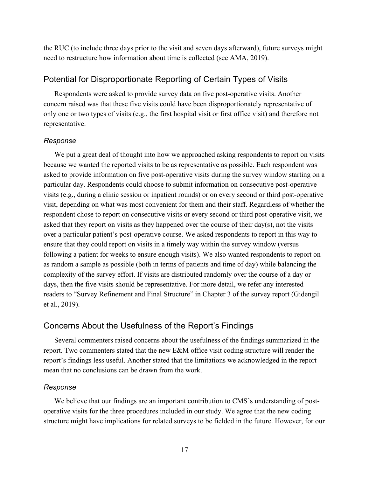the RUC (to include three days prior to the visit and seven days afterward), future surveys might need to restructure how information about time is collected (see AMA, 2019).

#### Potential for Disproportionate Reporting of Certain Types of Visits

Respondents were asked to provide survey data on five post-operative visits. Another concern raised was that these five visits could have been disproportionately representative of only one or two types of visits (e.g., the first hospital visit or first office visit) and therefore not representative.

#### *Response*

We put a great deal of thought into how we approached asking respondents to report on visits because we wanted the reported visits to be as representative as possible. Each respondent was asked to provide information on five post-operative visits during the survey window starting on a particular day. Respondents could choose to submit information on consecutive post-operative visits (e.g., during a clinic session or inpatient rounds) or on every second or third post-operative visit, depending on what was most convenient for them and their staff. Regardless of whether the respondent chose to report on consecutive visits or every second or third post-operative visit, we asked that they report on visits as they happened over the course of their day(s), not the visits over a particular patient's post-operative course. We asked respondents to report in this way to ensure that they could report on visits in a timely way within the survey window (versus following a patient for weeks to ensure enough visits). We also wanted respondents to report on as random a sample as possible (both in terms of patients and time of day) while balancing the complexity of the survey effort. If visits are distributed randomly over the course of a day or days, then the five visits should be representative. For more detail, we refer any interested readers to "Survey Refinement and Final Structure" in Chapter 3 of the survey report (Gidengil et al., 2019).

#### Concerns About the Usefulness of the Report's Findings

Several commenters raised concerns about the usefulness of the findings summarized in the report. Two commenters stated that the new E&M office visit coding structure will render the report's findings less useful. Another stated that the limitations we acknowledged in the report mean that no conclusions can be drawn from the work.

#### *Response*

We believe that our findings are an important contribution to CMS's understanding of postoperative visits for the three procedures included in our study. We agree that the new coding structure might have implications for related surveys to be fielded in the future. However, for our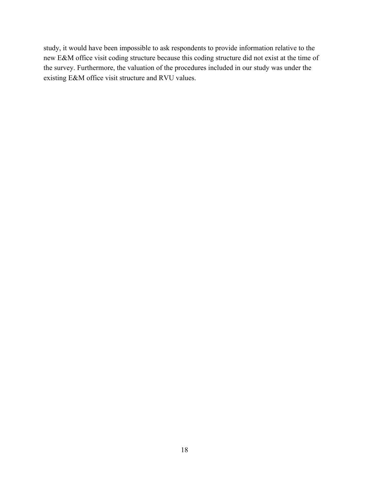study, it would have been impossible to ask respondents to provide information relative to the new E&M office visit coding structure because this coding structure did not exist at the time of the survey. Furthermore, the valuation of the procedures included in our study was under the existing E&M office visit structure and RVU values.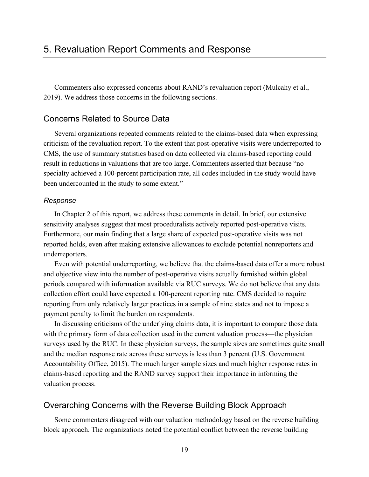Commenters also expressed concerns about RAND's revaluation report (Mulcahy et al., 2019). We address those concerns in the following sections.

### Concerns Related to Source Data

Several organizations repeated comments related to the claims-based data when expressing criticism of the revaluation report. To the extent that post-operative visits were underreported to CMS, the use of summary statistics based on data collected via claims-based reporting could result in reductions in valuations that are too large. Commenters asserted that because "no specialty achieved a 100-percent participation rate, all codes included in the study would have been undercounted in the study to some extent."

#### *Response*

In Chapter 2 of this report, we address these comments in detail. In brief, our extensive sensitivity analyses suggest that most proceduralists actively reported post-operative visits. Furthermore, our main finding that a large share of expected post-operative visits was not reported holds, even after making extensive allowances to exclude potential nonreporters and underreporters.

Even with potential underreporting, we believe that the claims-based data offer a more robust and objective view into the number of post-operative visits actually furnished within global periods compared with information available via RUC surveys. We do not believe that any data collection effort could have expected a 100-percent reporting rate. CMS decided to require reporting from only relatively larger practices in a sample of nine states and not to impose a payment penalty to limit the burden on respondents.

In discussing criticisms of the underlying claims data, it is important to compare those data with the primary form of data collection used in the current valuation process—the physician surveys used by the RUC. In these physician surveys, the sample sizes are sometimes quite small and the median response rate across these surveys is less than 3 percent (U.S. Government Accountability Office, 2015). The much larger sample sizes and much higher response rates in claims-based reporting and the RAND survey support their importance in informing the valuation process.

#### Overarching Concerns with the Reverse Building Block Approach

Some commenters disagreed with our valuation methodology based on the reverse building block approach. The organizations noted the potential conflict between the reverse building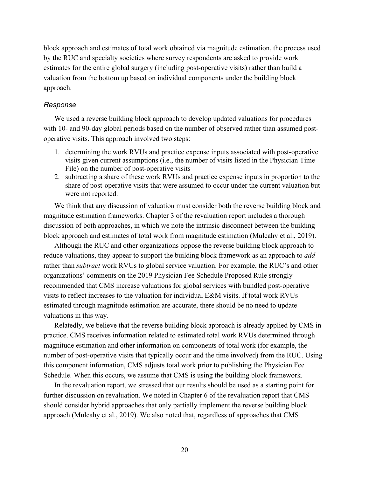block approach and estimates of total work obtained via magnitude estimation, the process used by the RUC and specialty societies where survey respondents are asked to provide work estimates for the entire global surgery (including post-operative visits) rather than build a valuation from the bottom up based on individual components under the building block approach.

#### *Response*

We used a reverse building block approach to develop updated valuations for procedures with 10- and 90-day global periods based on the number of observed rather than assumed postoperative visits. This approach involved two steps:

- 1. determining the work RVUs and practice expense inputs associated with post-operative visits given current assumptions (i.e., the number of visits listed in the Physician Time File) on the number of post-operative visits
- 2. subtracting a share of these work RVUs and practice expense inputs in proportion to the share of post-operative visits that were assumed to occur under the current valuation but were not reported.

We think that any discussion of valuation must consider both the reverse building block and magnitude estimation frameworks. Chapter 3 of the revaluation report includes a thorough discussion of both approaches, in which we note the intrinsic disconnect between the building block approach and estimates of total work from magnitude estimation (Mulcahy et al., 2019).

Although the RUC and other organizations oppose the reverse building block approach to reduce valuations, they appear to support the building block framework as an approach to *add* rather than *subtract* work RVUs to global service valuation. For example, the RUC's and other organizations' comments on the 2019 Physician Fee Schedule Proposed Rule strongly recommended that CMS increase valuations for global services with bundled post-operative visits to reflect increases to the valuation for individual E&M visits. If total work RVUs estimated through magnitude estimation are accurate, there should be no need to update valuations in this way.

Relatedly, we believe that the reverse building block approach is already applied by CMS in practice. CMS receives information related to estimated total work RVUs determined through magnitude estimation and other information on components of total work (for example, the number of post-operative visits that typically occur and the time involved) from the RUC. Using this component information, CMS adjusts total work prior to publishing the Physician Fee Schedule. When this occurs, we assume that CMS is using the building block framework.

In the revaluation report, we stressed that our results should be used as a starting point for further discussion on revaluation. We noted in Chapter 6 of the revaluation report that CMS should consider hybrid approaches that only partially implement the reverse building block approach (Mulcahy et al., 2019). We also noted that, regardless of approaches that CMS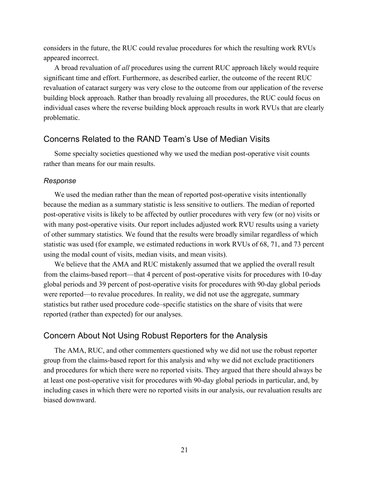considers in the future, the RUC could revalue procedures for which the resulting work RVUs appeared incorrect.

A broad revaluation of *all* procedures using the current RUC approach likely would require significant time and effort. Furthermore, as described earlier, the outcome of the recent RUC revaluation of cataract surgery was very close to the outcome from our application of the reverse building block approach. Rather than broadly revaluing all procedures, the RUC could focus on individual cases where the reverse building block approach results in work RVUs that are clearly problematic.

#### Concerns Related to the RAND Team's Use of Median Visits

Some specialty societies questioned why we used the median post-operative visit counts rather than means for our main results.

#### *Response*

We used the median rather than the mean of reported post-operative visits intentionally because the median as a summary statistic is less sensitive to outliers. The median of reported post-operative visits is likely to be affected by outlier procedures with very few (or no) visits or with many post-operative visits. Our report includes adjusted work RVU results using a variety of other summary statistics. We found that the results were broadly similar regardless of which statistic was used (for example, we estimated reductions in work RVUs of 68, 71, and 73 percent using the modal count of visits, median visits, and mean visits).

We believe that the AMA and RUC mistakenly assumed that we applied the overall result from the claims-based report—that 4 percent of post-operative visits for procedures with 10-day global periods and 39 percent of post-operative visits for procedures with 90-day global periods were reported—to revalue procedures. In reality, we did not use the aggregate, summary statistics but rather used procedure code–specific statistics on the share of visits that were reported (rather than expected) for our analyses.

#### Concern About Not Using Robust Reporters for the Analysis

The AMA, RUC, and other commenters questioned why we did not use the robust reporter group from the claims-based report for this analysis and why we did not exclude practitioners and procedures for which there were no reported visits. They argued that there should always be at least one post-operative visit for procedures with 90-day global periods in particular, and, by including cases in which there were no reported visits in our analysis, our revaluation results are biased downward.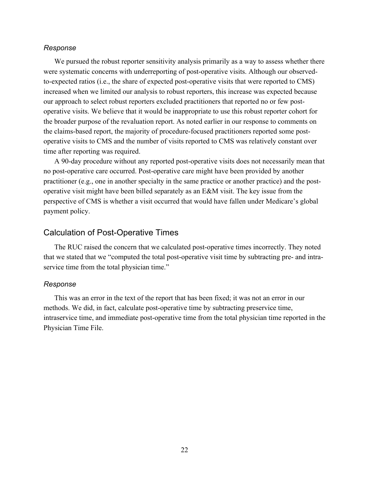#### *Response*

We pursued the robust reporter sensitivity analysis primarily as a way to assess whether there were systematic concerns with underreporting of post-operative visits. Although our observedto-expected ratios (i.e., the share of expected post-operative visits that were reported to CMS) increased when we limited our analysis to robust reporters, this increase was expected because our approach to select robust reporters excluded practitioners that reported no or few postoperative visits. We believe that it would be inappropriate to use this robust reporter cohort for the broader purpose of the revaluation report. As noted earlier in our response to comments on the claims-based report, the majority of procedure-focused practitioners reported some postoperative visits to CMS and the number of visits reported to CMS was relatively constant over time after reporting was required.

A 90-day procedure without any reported post-operative visits does not necessarily mean that no post-operative care occurred. Post-operative care might have been provided by another practitioner (e.g., one in another specialty in the same practice or another practice) and the postoperative visit might have been billed separately as an E&M visit. The key issue from the perspective of CMS is whether a visit occurred that would have fallen under Medicare's global payment policy.

# Calculation of Post-Operative Times

The RUC raised the concern that we calculated post-operative times incorrectly. They noted that we stated that we "computed the total post-operative visit time by subtracting pre- and intraservice time from the total physician time."

#### *Response*

This was an error in the text of the report that has been fixed; it was not an error in our methods. We did, in fact, calculate post-operative time by subtracting preservice time, intraservice time, and immediate post-operative time from the total physician time reported in the Physician Time File.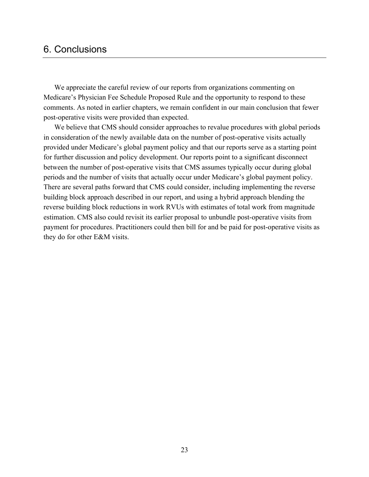# 6. Conclusions

We appreciate the careful review of our reports from organizations commenting on Medicare's Physician Fee Schedule Proposed Rule and the opportunity to respond to these comments. As noted in earlier chapters, we remain confident in our main conclusion that fewer post-operative visits were provided than expected.

We believe that CMS should consider approaches to revalue procedures with global periods in consideration of the newly available data on the number of post-operative visits actually provided under Medicare's global payment policy and that our reports serve as a starting point for further discussion and policy development. Our reports point to a significant disconnect between the number of post-operative visits that CMS assumes typically occur during global periods and the number of visits that actually occur under Medicare's global payment policy. There are several paths forward that CMS could consider, including implementing the reverse building block approach described in our report, and using a hybrid approach blending the reverse building block reductions in work RVUs with estimates of total work from magnitude estimation. CMS also could revisit its earlier proposal to unbundle post-operative visits from payment for procedures. Practitioners could then bill for and be paid for post-operative visits as they do for other E&M visits.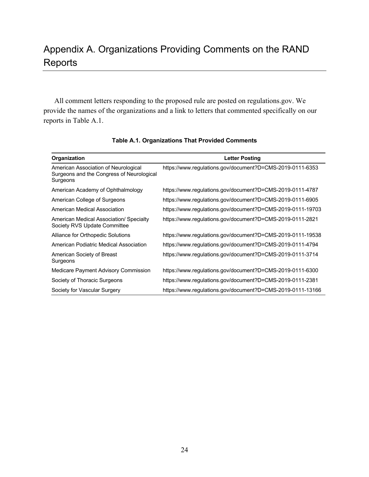# Appendix A. Organizations Providing Comments on the RAND **Reports**

All comment letters responding to the proposed rule are posted on regulations.gov. We provide the names of the organizations and a link to letters that commented specifically on our reports in Table A.1.

| Organization                                                                                  | Letter Posting                                             |
|-----------------------------------------------------------------------------------------------|------------------------------------------------------------|
| American Association of Neurological<br>Surgeons and the Congress of Neurological<br>Surgeons | https://www.regulations.gov/document?D=CMS-2019-0111-6353  |
| American Academy of Ophthalmology                                                             | https://www.regulations.gov/document?D=CMS-2019-0111-4787  |
| American College of Surgeons                                                                  | https://www.regulations.gov/document?D=CMS-2019-0111-6905  |
| American Medical Association                                                                  | https://www.regulations.gov/document?D=CMS-2019-0111-19703 |
| American Medical Association/ Specialty<br>Society RVS Update Committee                       | https://www.regulations.gov/document?D=CMS-2019-0111-2821  |
| Alliance for Orthopedic Solutions                                                             | https://www.regulations.gov/document?D=CMS-2019-0111-19538 |
| American Podiatric Medical Association                                                        | https://www.regulations.gov/document?D=CMS-2019-0111-4794  |
| American Society of Breast<br>Surgeons                                                        | https://www.regulations.gov/document?D=CMS-2019-0111-3714  |
| Medicare Payment Advisory Commission                                                          | https://www.regulations.gov/document?D=CMS-2019-0111-6300  |
| Society of Thoracic Surgeons                                                                  | https://www.regulations.gov/document?D=CMS-2019-0111-2381  |
| Society for Vascular Surgery                                                                  | https://www.regulations.gov/document?D=CMS-2019-0111-13166 |

**Table A.1. Organizations That Provided Comments**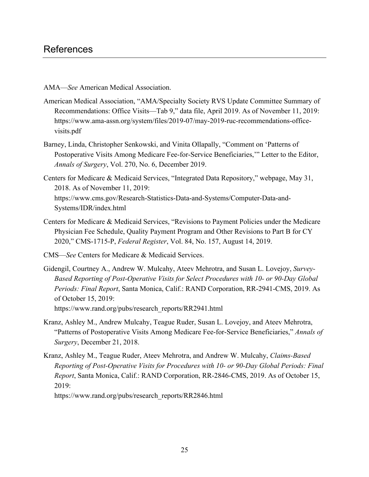AMA—*See* American Medical Association.

- American Medical Association, "AMA/Specialty Society RVS Update Committee Summary of Recommendations: Office Visits—Tab 9," data file, April 2019. As of November 11, 2019: [https://www.ama-assn.org/system/files/2019-07/may-2019-ruc-recommendations-office](https://www.ama-assn.org/system/files/2019-07/may-2019-ruc-recommendations-office-visits.pdf)visits.pdf
- Barney, Linda, Christopher Senkowski, and Vinita Ollapally, "Comment on 'Patterns of Postoperative Visits Among Medicare Fee-for-Service Beneficiaries,'" Letter to the Editor, *Annals of Surgery*, Vol. 270, No. 6, December 2019.
- Centers for Medicare & Medicaid Services, "Integrated Data Repository," webpage, May 31, 2018. As of November 11, 2019: [https://www.cms.gov/Research-Statistics-Data-and-Systems/Computer-Data-and-](https://www.cms.gov/Research-Statistics-Data-and-Systems/Computer-Data-and-Systems/IDR/index.html)Systems/IDR/index.html
- Centers for Medicare & Medicaid Services, "Revisions to Payment Policies under the Medicare Physician Fee Schedule, Quality Payment Program and Other Revisions to Part B for CY 2020," CMS-1715-P, *Federal Register*, Vol. 84, No. 157, August 14, 2019.
- CMS—*See* Centers for Medicare & Medicaid Services.
- Gidengil, Courtney A., Andrew W. Mulcahy, Ateev Mehrotra, and Susan L. Lovejoy, *Survey-Based Reporting of Post-Operative Visits for Select Procedures with 10- or 90-Day Global Periods: Final Report*, Santa Monica, Calif.: RAND Corporation, RR-2941-CMS, 2019. As of October 15, 2019: [https://www.rand.org/pubs/research\\_reports/RR2941.html](https://www.rand.org/pubs/research_reports/RR2941.html)
- Kranz, Ashley M., Andrew Mulcahy, Teague Ruder, Susan L. Lovejoy, and Ateev Mehrotra, "Patterns of Postoperative Visits Among Medicare Fee-for-Service Beneficiaries," *Annals of Surgery*, December 21, 2018.
- Kranz, Ashley M., Teague Ruder, Ateev Mehrotra, and Andrew W. Mulcahy, *Claims-Based Reporting of Post-Operative Visits for Procedures with 10- or 90-Day Global Periods: Final Report*, Santa Monica, Calif.: RAND Corporation, RR-2846-CMS, 2019. As of October 15, 2019:

[https://www.rand.org/pubs/research\\_reports/RR2846.html](https://www.rand.org/pubs/research_reports/RR2846.html)